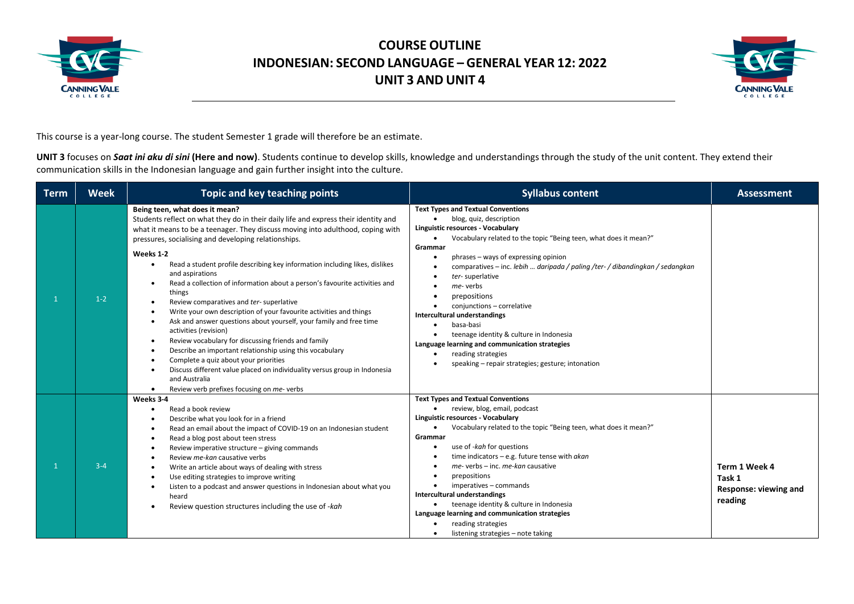



This course is a year-long course. The student Semester 1 grade will therefore be an estimate.

UNIT 3 focuses on *Saat ini aku di sini* (Here and now). Students continue to develop skills, knowledge and understandings through the study of the unit content. They extend their communication skills in the Indonesian language and gain further insight into the culture.

| <b>Term</b> | <b>Week</b> | Topic and key teaching points                                                                                                                                                                                                                                                                                                                                                                                                                                                                                                                                                                                                                                                                                                                                                                                                                                                                                                                                                                       | <b>Syllabus content</b>                                                                                                                                                                                                                                                                                                                                                                                                                                                                                                                                                                                                                       | <b>Assessment</b>                                           |
|-------------|-------------|-----------------------------------------------------------------------------------------------------------------------------------------------------------------------------------------------------------------------------------------------------------------------------------------------------------------------------------------------------------------------------------------------------------------------------------------------------------------------------------------------------------------------------------------------------------------------------------------------------------------------------------------------------------------------------------------------------------------------------------------------------------------------------------------------------------------------------------------------------------------------------------------------------------------------------------------------------------------------------------------------------|-----------------------------------------------------------------------------------------------------------------------------------------------------------------------------------------------------------------------------------------------------------------------------------------------------------------------------------------------------------------------------------------------------------------------------------------------------------------------------------------------------------------------------------------------------------------------------------------------------------------------------------------------|-------------------------------------------------------------|
|             | $1-2$       | Being teen, what does it mean?<br>Students reflect on what they do in their daily life and express their identity and<br>what it means to be a teenager. They discuss moving into adulthood, coping with<br>pressures, socialising and developing relationships.<br>Weeks 1-2<br>Read a student profile describing key information including likes, dislikes<br>and aspirations<br>Read a collection of information about a person's favourite activities and<br>things<br>Review comparatives and ter-superlative<br>Write your own description of your favourite activities and things<br>Ask and answer questions about yourself, your family and free time<br>activities (revision)<br>Review vocabulary for discussing friends and family<br>Describe an important relationship using this vocabulary<br>Complete a quiz about your priorities<br>Discuss different value placed on individuality versus group in Indonesia<br>and Australia<br>Review verb prefixes focusing on me-verbs<br>٠ | <b>Text Types and Textual Conventions</b><br>blog, quiz, description<br>Linguistic resources - Vocabulary<br>Vocabulary related to the topic "Being teen, what does it mean?"<br>$\bullet$<br>Grammar<br>phrases - ways of expressing opinion<br>comparatives – inc. lebih  daripada / paling /ter- / dibandingkan / sedangkan<br>ter-superlative<br>me-verbs<br>prepositions<br>conjunctions - correlative<br>Intercultural understandings<br>basa-basi<br>$\bullet$<br>teenage identity & culture in Indonesia<br>Language learning and communication strategies<br>reading strategies<br>speaking - repair strategies; gesture; intonation |                                                             |
|             | $3 - 4$     | Weeks 3-4<br>Read a book review<br>Describe what you look for in a friend<br>Read an email about the impact of COVID-19 on an Indonesian student<br>Read a blog post about teen stress<br>Review imperative structure - giving commands<br>Review me-kan causative verbs<br>Write an article about ways of dealing with stress<br>Use editing strategies to improve writing<br>Listen to a podcast and answer questions in Indonesian about what you<br>heard<br>Review question structures including the use of -kah                                                                                                                                                                                                                                                                                                                                                                                                                                                                               | <b>Text Types and Textual Conventions</b><br>review, blog, email, podcast<br>Linguistic resources - Vocabulary<br>Vocabulary related to the topic "Being teen, what does it mean?"<br>$\bullet$<br>Grammar<br>use of -kah for questions<br>time indicators $-$ e.g. future tense with $akan$<br>$me$ - verbs – inc. me-kan causative<br>prepositions<br>imperatives - commands<br><b>Intercultural understandings</b><br>teenage identity & culture in Indonesia<br>٠<br>Language learning and communication strategies<br>reading strategies<br>listening strategies - note taking                                                           | Term 1 Week 4<br>Task 1<br>Response: viewing and<br>reading |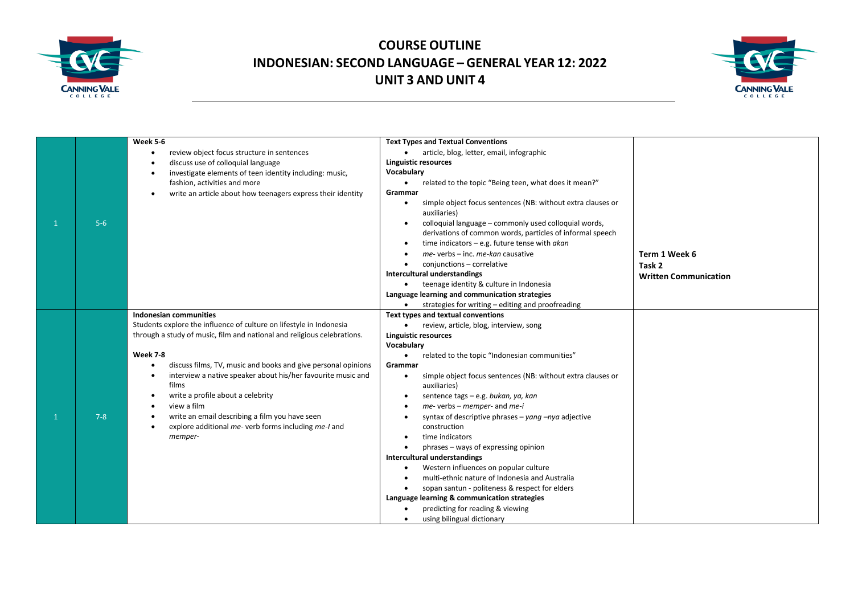



|         | Week 5-6<br>review object focus structure in sentences                   | <b>Text Types and Textual Conventions</b><br>• article, blog, letter, email, infographic                                        |                              |
|---------|--------------------------------------------------------------------------|---------------------------------------------------------------------------------------------------------------------------------|------------------------------|
|         | discuss use of colloquial language                                       | <b>Linguistic resources</b>                                                                                                     |                              |
|         | investigate elements of teen identity including: music,                  | Vocabulary                                                                                                                      |                              |
|         | fashion, activities and more                                             | related to the topic "Being teen, what does it mean?"<br>$\bullet$                                                              |                              |
|         | write an article about how teenagers express their identity<br>$\bullet$ | Grammar                                                                                                                         |                              |
|         |                                                                          | simple object focus sentences (NB: without extra clauses or<br>$\bullet$<br>auxiliaries)                                        |                              |
| $5-6$   |                                                                          | colloquial language - commonly used colloquial words,<br>$\bullet$<br>derivations of common words, particles of informal speech |                              |
|         |                                                                          | time indicators $-$ e.g. future tense with akan                                                                                 |                              |
|         |                                                                          | me- verbs - inc. me-kan causative                                                                                               | Term 1 Week 6                |
|         |                                                                          | conjunctions - correlative                                                                                                      | Task 2                       |
|         |                                                                          | Intercultural understandings                                                                                                    | <b>Written Communication</b> |
|         |                                                                          | teenage identity & culture in Indonesia                                                                                         |                              |
|         |                                                                          | Language learning and communication strategies                                                                                  |                              |
|         |                                                                          | strategies for writing – editing and proofreading                                                                               |                              |
|         | Indonesian communities                                                   | Text types and textual conventions                                                                                              |                              |
|         | Students explore the influence of culture on lifestyle in Indonesia      | review, article, blog, interview, song<br>$\bullet$                                                                             |                              |
|         | through a study of music, film and national and religious celebrations.  | <b>Linguistic resources</b>                                                                                                     |                              |
|         |                                                                          | Vocabulary                                                                                                                      |                              |
|         | Week 7-8                                                                 | related to the topic "Indonesian communities"<br>$\bullet$                                                                      |                              |
|         | discuss films, TV, music and books and give personal opinions            | Grammar                                                                                                                         |                              |
|         | interview a native speaker about his/her favourite music and             | simple object focus sentences (NB: without extra clauses or<br>$\bullet$                                                        |                              |
|         | films                                                                    | auxiliaries)                                                                                                                    |                              |
|         | write a profile about a celebrity<br>$\bullet$                           | sentence tags - e.g. bukan, ya, kan                                                                                             |                              |
|         | view a film<br>$\bullet$                                                 | me- verbs - memper- and me-i                                                                                                    |                              |
| $7 - 8$ | write an email describing a film you have seen                           | syntax of descriptive phrases – yang $-\eta ya$ adjective                                                                       |                              |
|         | explore additional me- verb forms including me-I and<br>$\bullet$        | construction                                                                                                                    |                              |
|         | memper-                                                                  | time indicators                                                                                                                 |                              |
|         |                                                                          | phrases – ways of expressing opinion<br>$\bullet$                                                                               |                              |
|         |                                                                          | Intercultural understandings                                                                                                    |                              |
|         |                                                                          | Western influences on popular culture                                                                                           |                              |
|         |                                                                          | multi-ethnic nature of Indonesia and Australia                                                                                  |                              |
|         |                                                                          | sopan santun - politeness & respect for elders                                                                                  |                              |
|         |                                                                          | Language learning & communication strategies                                                                                    |                              |
|         |                                                                          | predicting for reading & viewing                                                                                                |                              |
|         |                                                                          | using bilingual dictionary                                                                                                      |                              |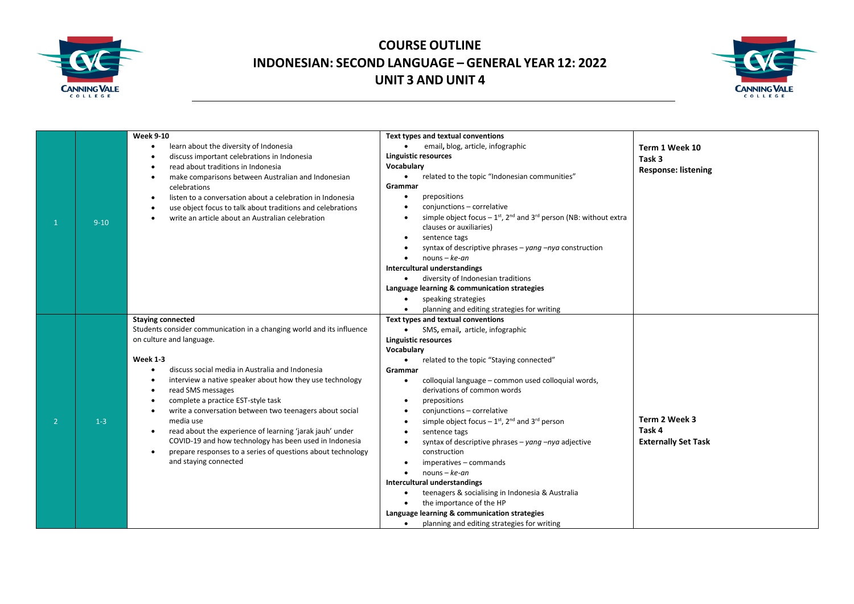



|                |          | <b>Week 9-10</b>                                                      | Text types and textual conventions                                                                     |                            |
|----------------|----------|-----------------------------------------------------------------------|--------------------------------------------------------------------------------------------------------|----------------------------|
|                |          | learn about the diversity of Indonesia                                | email, blog, article, infographic<br>$\bullet$                                                         | Term 1 Week 10             |
|                |          | discuss important celebrations in Indonesia                           | <b>Linguistic resources</b>                                                                            | Task 3                     |
|                |          | read about traditions in Indonesia                                    | Vocabulary                                                                                             |                            |
|                |          | make comparisons between Australian and Indonesian                    | related to the topic "Indonesian communities"<br>$\bullet$                                             | <b>Response: listening</b> |
|                |          | celebrations                                                          | Grammar                                                                                                |                            |
|                |          | listen to a conversation about a celebration in Indonesia             | prepositions<br>$\bullet$                                                                              |                            |
|                |          | use object focus to talk about traditions and celebrations            | conjunctions - correlative                                                                             |                            |
|                |          | write an article about an Australian celebration                      | simple object focus $-1$ <sup>st</sup> , 2 <sup>nd</sup> and 3 <sup>rd</sup> person (NB: without extra |                            |
| $\mathbf{1}$   | $9 - 10$ |                                                                       | clauses or auxiliaries)                                                                                |                            |
|                |          |                                                                       | sentence tags<br>$\bullet$                                                                             |                            |
|                |          |                                                                       | syntax of descriptive phrases – yang $-nya$ construction                                               |                            |
|                |          |                                                                       | $nouns - ke-an$<br>$\bullet$                                                                           |                            |
|                |          |                                                                       | Intercultural understandings                                                                           |                            |
|                |          |                                                                       | diversity of Indonesian traditions<br>$\bullet$                                                        |                            |
|                |          |                                                                       | Language learning & communication strategies                                                           |                            |
|                |          |                                                                       | speaking strategies                                                                                    |                            |
|                |          |                                                                       | planning and editing strategies for writing                                                            |                            |
|                |          | <b>Staying connected</b>                                              | Text types and textual conventions                                                                     |                            |
|                |          | Students consider communication in a changing world and its influence | SMS, email, article, infographic<br>$\bullet$                                                          |                            |
|                |          | on culture and language.                                              | Linguistic resources                                                                                   |                            |
|                |          |                                                                       | Vocabulary                                                                                             |                            |
|                |          | <b>Week 1-3</b>                                                       | related to the topic "Staying connected"<br>$\bullet$                                                  |                            |
|                |          | discuss social media in Australia and Indonesia                       | Grammar                                                                                                |                            |
|                |          | interview a native speaker about how they use technology              | colloquial language - common used colloquial words,<br>$\bullet$                                       |                            |
|                |          | read SMS messages                                                     | derivations of common words                                                                            |                            |
|                |          | complete a practice EST-style task                                    | prepositions                                                                                           |                            |
|                |          | write a conversation between two teenagers about social               | conjunctions - correlative                                                                             |                            |
| $\overline{2}$ | $1 - 3$  | media use                                                             | simple object focus $-1$ <sup>st</sup> , 2 <sup>nd</sup> and 3 <sup>rd</sup> person                    | Term 2 Week 3              |
|                |          | read about the experience of learning 'jarak jauh' under<br>$\bullet$ | sentence tags                                                                                          | Task 4                     |
|                |          | COVID-19 and how technology has been used in Indonesia                | syntax of descriptive phrases – yang $-nya$ adjective                                                  | <b>Externally Set Task</b> |
|                |          | prepare responses to a series of questions about technology           | construction                                                                                           |                            |
|                |          | and staying connected                                                 | imperatives - commands                                                                                 |                            |
|                |          |                                                                       | $nouns - ke-an$<br>$\bullet$                                                                           |                            |
|                |          |                                                                       | Intercultural understandings                                                                           |                            |
|                |          |                                                                       | teenagers & socialising in Indonesia & Australia                                                       |                            |
|                |          |                                                                       | the importance of the HP                                                                               |                            |
|                |          |                                                                       | Language learning & communication strategies                                                           |                            |
|                |          |                                                                       | planning and editing strategies for writing<br>$\bullet$                                               |                            |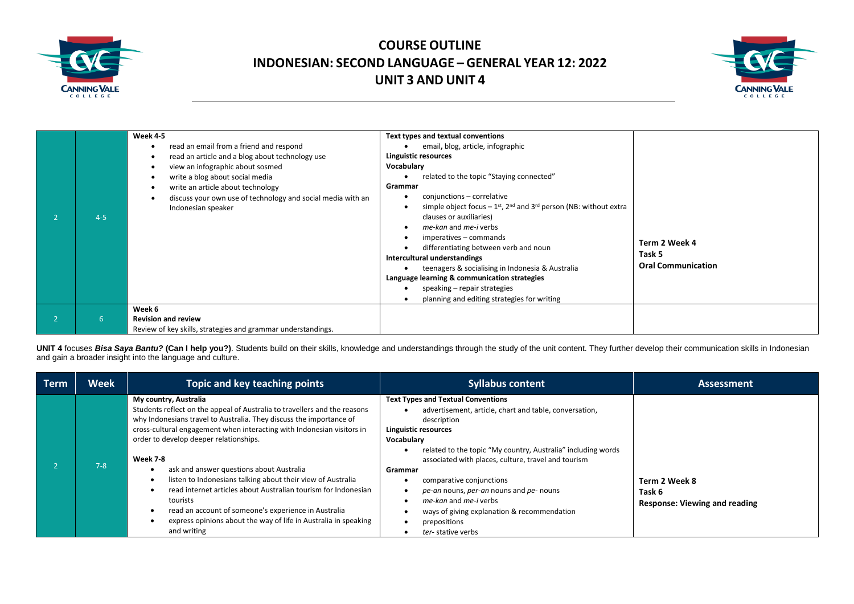



|         | Week 4-5<br>read an email from a friend and respond<br>read an article and a blog about technology use                                                                                        | Text types and textual conventions<br>email, blog, article, infographic<br><b>Linguistic resources</b>                                                                                                                                                                                                                                                                                                                                                                                                                                              |                                                      |
|---------|-----------------------------------------------------------------------------------------------------------------------------------------------------------------------------------------------|-----------------------------------------------------------------------------------------------------------------------------------------------------------------------------------------------------------------------------------------------------------------------------------------------------------------------------------------------------------------------------------------------------------------------------------------------------------------------------------------------------------------------------------------------------|------------------------------------------------------|
| $4 - 5$ | view an infographic about sosmed<br>write a blog about social media<br>write an article about technology<br>discuss your own use of technology and social media with an<br>Indonesian speaker | Vocabulary<br>related to the topic "Staying connected"<br>Grammar<br>conjunctions - correlative<br>simple object focus $-1$ <sup>st</sup> , 2 <sup>nd</sup> and 3 <sup>rd</sup> person (NB: without extra<br>clauses or auxiliaries)<br>me-kan and me-i verbs<br>imperatives - commands<br>differentiating between verb and noun<br>Intercultural understandings<br>teenagers & socialising in Indonesia & Australia<br>Language learning & communication strategies<br>speaking – repair strategies<br>planning and editing strategies for writing | Term 2 Week 4<br>Task 5<br><b>Oral Communication</b> |
| b.      | Week 6<br><b>Revision and review</b><br>Review of key skills, strategies and grammar understandings.                                                                                          |                                                                                                                                                                                                                                                                                                                                                                                                                                                                                                                                                     |                                                      |

UNIT 4 focuses Bisa Saya Bantu? (Can I help you?). Students build on their skills, knowledge and understandings through the study of the unit content. They further develop their communication skills in Indonesian and gain a broader insight into the language and culture.

| Term | <b>Week</b> | Topic and key teaching points                                                                                                                                                                                                                                                                                                                                                                                                                                                                                                                                                                                                                | <b>Syllabus content</b>                                                                                                                                                                                                                                                                                                                                                                                                                                                        | <b>Assessment</b>                                               |
|------|-------------|----------------------------------------------------------------------------------------------------------------------------------------------------------------------------------------------------------------------------------------------------------------------------------------------------------------------------------------------------------------------------------------------------------------------------------------------------------------------------------------------------------------------------------------------------------------------------------------------------------------------------------------------|--------------------------------------------------------------------------------------------------------------------------------------------------------------------------------------------------------------------------------------------------------------------------------------------------------------------------------------------------------------------------------------------------------------------------------------------------------------------------------|-----------------------------------------------------------------|
|      | $7 - 8$     | My country, Australia<br>Students reflect on the appeal of Australia to travellers and the reasons<br>why Indonesians travel to Australia. They discuss the importance of<br>cross-cultural engagement when interacting with Indonesian visitors in<br>order to develop deeper relationships.<br>Week 7-8<br>ask and answer questions about Australia<br>listen to Indonesians talking about their view of Australia<br>read internet articles about Australian tourism for Indonesian<br>tourists<br>read an account of someone's experience in Australia<br>express opinions about the way of life in Australia in speaking<br>and writing | <b>Text Types and Textual Conventions</b><br>advertisement, article, chart and table, conversation,<br>description<br>Linguistic resources<br>Vocabulary<br>related to the topic "My country, Australia" including words<br>associated with places, culture, travel and tourism<br>Grammar<br>comparative conjunctions<br>pe-an nouns, per-an nouns and pe- nouns<br>me-kan and me-i verbs<br>ways of giving explanation & recommendation<br>prepositions<br>ter-stative verbs | Term 2 Week 8<br>Task 6<br><b>Response: Viewing and reading</b> |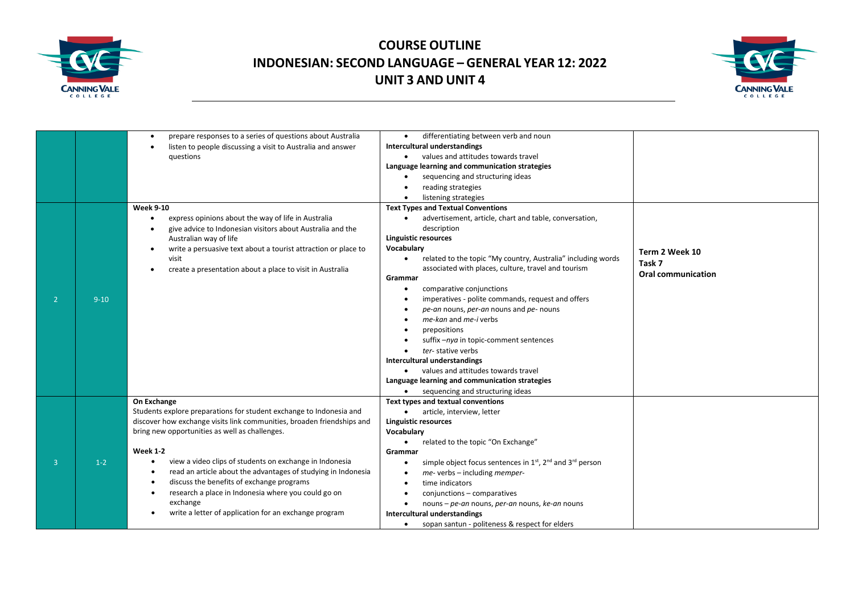



|                |          | prepare responses to a series of questions about Australia<br>listen to people discussing a visit to Australia and answer<br>questions                                                                                                                                              | differentiating between verb and noun<br>$\bullet$<br>Intercultural understandings<br>values and attitudes towards travel<br>$\bullet$<br>Language learning and communication strategies<br>sequencing and structuring ideas<br>reading strategies<br>listening strategies                                                                                                                                                          |                                                       |
|----------------|----------|-------------------------------------------------------------------------------------------------------------------------------------------------------------------------------------------------------------------------------------------------------------------------------------|-------------------------------------------------------------------------------------------------------------------------------------------------------------------------------------------------------------------------------------------------------------------------------------------------------------------------------------------------------------------------------------------------------------------------------------|-------------------------------------------------------|
|                |          | <b>Week 9-10</b>                                                                                                                                                                                                                                                                    | <b>Text Types and Textual Conventions</b>                                                                                                                                                                                                                                                                                                                                                                                           |                                                       |
|                |          | express opinions about the way of life in Australia<br>give advice to Indonesian visitors about Australia and the<br>Australian way of life<br>write a persuasive text about a tourist attraction or place to<br>visit<br>create a presentation about a place to visit in Australia | advertisement, article, chart and table, conversation,<br>description<br><b>Linguistic resources</b><br>Vocabulary<br>related to the topic "My country, Australia" including words<br>٠<br>associated with places, culture, travel and tourism<br>Grammar                                                                                                                                                                           | Term 2 Week 10<br>Task 7<br><b>Oral communication</b> |
| $\overline{2}$ | $9 - 10$ |                                                                                                                                                                                                                                                                                     | comparative conjunctions<br>$\bullet$<br>imperatives - polite commands, request and offers<br>pe-an nouns, per-an nouns and pe- nouns<br>me-kan and me-i verbs<br>prepositions<br>suffix-nya in topic-comment sentences<br>ter-stative verbs<br>$\bullet$<br>Intercultural understandings<br>values and attitudes towards travel<br>$\bullet$<br>Language learning and communication strategies<br>sequencing and structuring ideas |                                                       |
|                |          | On Exchange<br>Students explore preparations for student exchange to Indonesia and<br>discover how exchange visits link communities, broaden friendships and<br>bring new opportunities as well as challenges.                                                                      | Text types and textual conventions<br>article, interview, letter<br>$\bullet$<br><b>Linguistic resources</b><br>Vocabulary                                                                                                                                                                                                                                                                                                          |                                                       |
|                |          |                                                                                                                                                                                                                                                                                     | related to the topic "On Exchange"<br>$\bullet$                                                                                                                                                                                                                                                                                                                                                                                     |                                                       |
|                |          | <b>Week 1-2</b>                                                                                                                                                                                                                                                                     | Grammar                                                                                                                                                                                                                                                                                                                                                                                                                             |                                                       |
| $\overline{3}$ | $1-2$    | view a video clips of students on exchange in Indonesia<br>read an article about the advantages of studying in Indonesia<br>discuss the benefits of exchange programs<br>research a place in Indonesia where you could go on<br>$\bullet$<br>exchange                               | simple object focus sentences in 1 <sup>st</sup> , 2 <sup>nd</sup> and 3 <sup>rd</sup> person<br>٠<br>me- verbs - including memper-<br>time indicators<br>conjunctions - comparatives<br>nouns – pe-an nouns, per-an nouns, ke-an nouns                                                                                                                                                                                             |                                                       |
|                |          | write a letter of application for an exchange program                                                                                                                                                                                                                               | <b>Intercultural understandings</b>                                                                                                                                                                                                                                                                                                                                                                                                 |                                                       |
|                |          |                                                                                                                                                                                                                                                                                     | sopan santun - politeness & respect for elders<br>$\bullet$                                                                                                                                                                                                                                                                                                                                                                         |                                                       |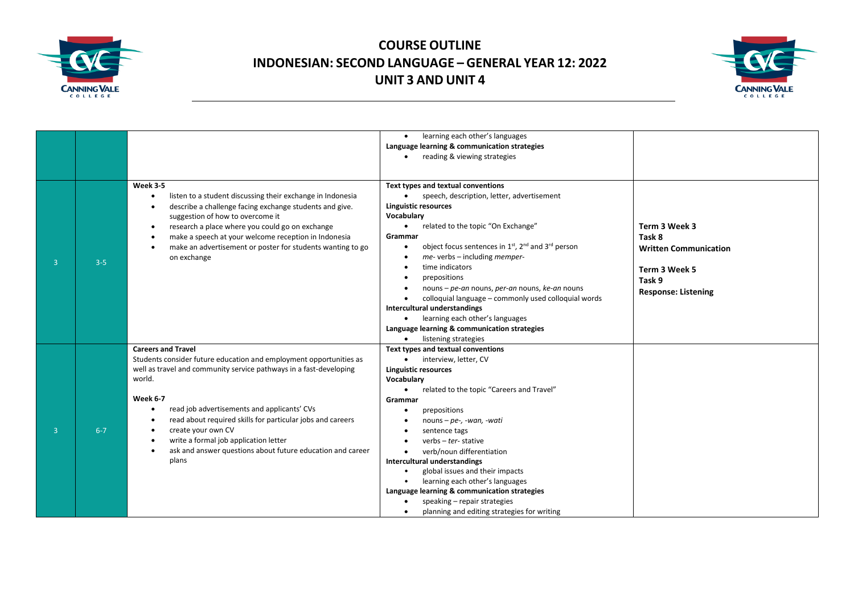



|                |         |                                                                                                                                                                                                                                                                                                                                                                                                                                                                                 | learning each other's languages<br>Language learning & communication strategies<br>reading & viewing strategies<br>$\bullet$                                                                                                                                                                                                                                                                                                                                                                                                                                                                                                |                                                                                                                  |
|----------------|---------|---------------------------------------------------------------------------------------------------------------------------------------------------------------------------------------------------------------------------------------------------------------------------------------------------------------------------------------------------------------------------------------------------------------------------------------------------------------------------------|-----------------------------------------------------------------------------------------------------------------------------------------------------------------------------------------------------------------------------------------------------------------------------------------------------------------------------------------------------------------------------------------------------------------------------------------------------------------------------------------------------------------------------------------------------------------------------------------------------------------------------|------------------------------------------------------------------------------------------------------------------|
| $\overline{3}$ | $3 - 5$ | <b>Week 3-5</b><br>listen to a student discussing their exchange in Indonesia<br>describe a challenge facing exchange students and give.<br>suggestion of how to overcome it<br>research a place where you could go on exchange<br>$\bullet$<br>make a speech at your welcome reception in Indonesia<br>make an advertisement or poster for students wanting to go<br>on exchange                                                                                               | Text types and textual conventions<br>speech, description, letter, advertisement<br><b>Linguistic resources</b><br>Vocabulary<br>related to the topic "On Exchange"<br>$\bullet$<br>Grammar<br>object focus sentences in 1 <sup>st</sup> , 2 <sup>nd</sup> and 3 <sup>rd</sup> person<br>me- verbs - including memper-<br>time indicators<br>prepositions<br>nouns - pe-an nouns, per-an nouns, ke-an nouns<br>colloquial language - commonly used colloquial words<br>Intercultural understandings<br>learning each other's languages<br>$\bullet$<br>Language learning & communication strategies<br>listening strategies | Term 3 Week 3<br>Task 8<br><b>Written Communication</b><br>Term 3 Week 5<br>Task 9<br><b>Response: Listening</b> |
| $\overline{3}$ | $6 - 7$ | <b>Careers and Travel</b><br>Students consider future education and employment opportunities as<br>well as travel and community service pathways in a fast-developing<br>world.<br><b>Week 6-7</b><br>read job advertisements and applicants' CVs<br>read about required skills for particular jobs and careers<br>$\bullet$<br>create your own CV<br>$\bullet$<br>write a formal job application letter<br>ask and answer questions about future education and career<br>plans | Text types and textual conventions<br>interview, letter, CV<br>$\bullet$<br><b>Linguistic resources</b><br>Vocabulary<br>related to the topic "Careers and Travel"<br>$\bullet$<br>Grammar<br>prepositions<br>nouns – $pe$ -, -wan, -wati<br>sentence tags<br>verbs $-$ ter-stative<br>verb/noun differentiation<br>Intercultural understandings<br>global issues and their impacts<br>learning each other's languages<br>$\bullet$<br>Language learning & communication strategies<br>speaking - repair strategies<br>planning and editing strategies for writing                                                          |                                                                                                                  |